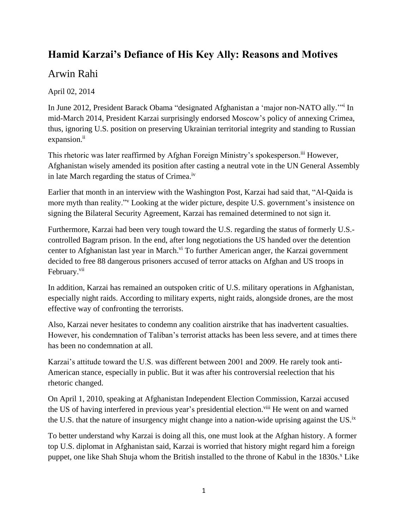## **Hamid Karzai's Defiance of His Key Ally: Reasons and Motives**

## Arwin Rahi

April 02, 2014

In June 2012, President Barack Obama "designated Afghanistan a 'major non-NATO ally.'" i In mid-March 2014, President Karzai surprisingly endorsed Moscow's policy of annexing Crimea, thus, ignoring U.S. position on preserving Ukrainian territorial integrity and standing to Russian expansion.<sup>ii</sup>

This rhetoric was later reaffirmed by Afghan Foreign Ministry's spokesperson.<sup>iii</sup> However, Afghanistan wisely amended its position after casting a neutral vote in the UN General Assembly in late March regarding the status of Crimea.iv

Earlier that month in an interview with the Washington Post, Karzai had said that, "Al-Qaida is more myth than reality."<sup>v</sup> Looking at the wider picture, despite U.S. government's insistence on signing the Bilateral Security Agreement, Karzai has remained determined to not sign it.

Furthermore, Karzai had been very tough toward the U.S. regarding the status of formerly U.S. controlled Bagram prison. In the end, after long negotiations the US handed over the detention center to Afghanistan last year in March.<sup>vi</sup> To further American anger, the Karzai government decided to free 88 dangerous prisoners accused of terror attacks on Afghan and US troops in February.<sup>vii</sup>

In addition, Karzai has remained an outspoken critic of U.S. military operations in Afghanistan, especially night raids. According to military experts, night raids, alongside drones, are the most effective way of confronting the terrorists.

Also, Karzai never hesitates to condemn any coalition airstrike that has inadvertent casualties. However, his condemnation of Taliban's terrorist attacks has been less severe, and at times there has been no condemnation at all.

Karzai's attitude toward the U.S. was different between 2001 and 2009. He rarely took anti-American stance, especially in public. But it was after his controversial reelection that his rhetoric changed.

On April 1, 2010, speaking at Afghanistan Independent Election Commission, Karzai accused the US of having interfered in previous year's presidential election.<sup>viii</sup> He went on and warned the U.S. that the nature of insurgency might change into a nation-wide uprising against the US.<sup>ix</sup>

To better understand why Karzai is doing all this, one must look at the Afghan history. A former top U.S. diplomat in Afghanistan said, Karzai is worried that history might regard him a foreign puppet, one like Shah Shuja whom the British installed to the throne of Kabul in the  $1830s$ .<sup>x</sup> Like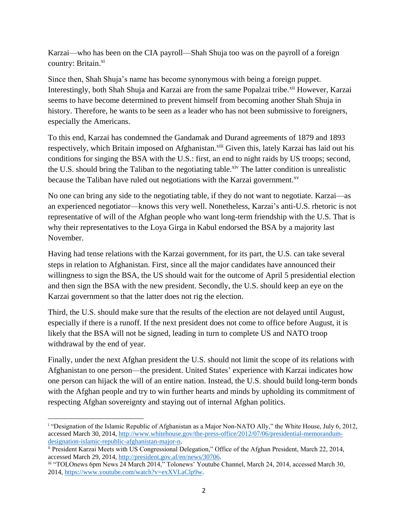Karzai—who has been on the CIA payroll—Shah Shuja too was on the payroll of a foreign country: Britain.<sup>xi</sup>

Since then, Shah Shuja's name has become synonymous with being a foreign puppet. Interestingly, both Shah Shuja and Karzai are from the same Popalzai tribe.<sup>xii</sup> However, Karzai seems to have become determined to prevent himself from becoming another Shah Shuja in history. Therefore, he wants to be seen as a leader who has not been submissive to foreigners, especially the Americans.

To this end, Karzai has condemned the Gandamak and Durand agreements of 1879 and 1893 respectively, which Britain imposed on Afghanistan.<sup>xiii</sup> Given this, lately Karzai has laid out his conditions for singing the BSA with the U.S.: first, an end to night raids by US troops; second, the U.S. should bring the Taliban to the negotiating table.<sup>xiv</sup> The latter condition is unrealistic because the Taliban have ruled out negotiations with the Karzai government.<sup>xv</sup>

No one can bring any side to the negotiating table, if they do not want to negotiate. Karzai—as an experienced negotiator—knows this very well. Nonetheless, Karzai's anti-U.S. rhetoric is not representative of will of the Afghan people who want long-term friendship with the U.S. That is why their representatives to the Loya Girga in Kabul endorsed the BSA by a majority last November.

Having had tense relations with the Karzai government, for its part, the U.S. can take several steps in relation to Afghanistan. First, since all the major candidates have announced their willingness to sign the BSA, the US should wait for the outcome of April 5 presidential election and then sign the BSA with the new president. Secondly, the U.S. should keep an eye on the Karzai government so that the latter does not rig the election.

Third, the U.S. should make sure that the results of the election are not delayed until August, especially if there is a runoff. If the next president does not come to office before August, it is likely that the BSA will not be signed, leading in turn to complete US and NATO troop withdrawal by the end of year.

Finally, under the next Afghan president the U.S. should not limit the scope of its relations with Afghanistan to one person—the president. United States' experience with Karzai indicates how one person can hijack the will of an entire nation. Instead, the U.S. should build long-term bonds with the Afghan people and try to win further hearts and minds by upholding its commitment of respecting Afghan sovereignty and staying out of internal Afghan politics.

 $\overline{\phantom{a}}$ <sup>i</sup> "Designation of the Islamic Republic of Afghanistan as a Major Non-NATO Ally," the White House, July 6, 2012, accessed March 30, 2014, [http://www.whitehouse.gov/the-press-office/2012/07/06/presidential-memorandum](http://www.whitehouse.gov/the-press-office/2012/07/06/presidential-memorandum-designation-islamic-republic-afghanistan-major-n)[designation-islamic-republic-afghanistan-major-n.](http://www.whitehouse.gov/the-press-office/2012/07/06/presidential-memorandum-designation-islamic-republic-afghanistan-major-n)

ii President Karzai Meets with US Congressional Delegation," Office of the Afghan President, March 22, 2014, accessed March 29, 2014, [http://president.gov.af/en/news/30706.](http://president.gov.af/en/news/30706)

iii "TOLOnews 6pm News 24 March 2014," Tolonews' Youtube Channel, March 24, 2014, accessed March 30, 2014, [https://www.youtube.com/watch?v=exXVLaClp9w.](https://www.youtube.com/watch?v=exXVLaClp9w)